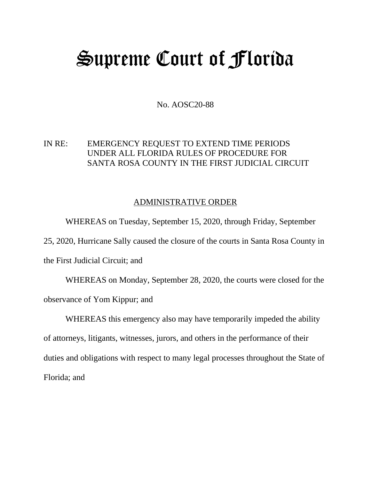## Supreme Court of Florida

No. AOSC20-88

## IN RE: EMERGENCY REQUEST TO EXTEND TIME PERIODS UNDER ALL FLORIDA RULES OF PROCEDURE FOR SANTA ROSA COUNTY IN THE FIRST JUDICIAL CIRCUIT

## ADMINISTRATIVE ORDER

WHEREAS on Tuesday, September 15, 2020, through Friday, September 25, 2020, Hurricane Sally caused the closure of the courts in Santa Rosa County in the First Judicial Circuit; and

WHEREAS on Monday, September 28, 2020, the courts were closed for the observance of Yom Kippur; and

WHEREAS this emergency also may have temporarily impeded the ability of attorneys, litigants, witnesses, jurors, and others in the performance of their duties and obligations with respect to many legal processes throughout the State of Florida; and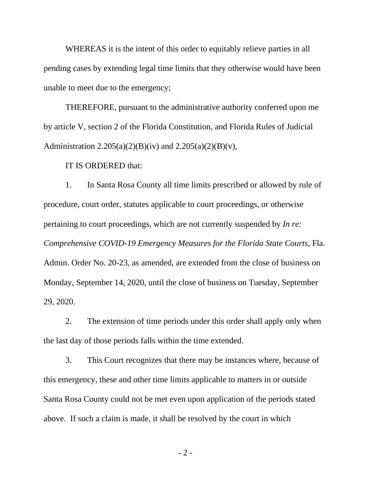WHEREAS it is the intent of this order to equitably relieve parties in all pending cases by extending legal time limits that they otherwise would have been unable to meet due to the emergency;

THEREFORE, pursuant to the administrative authority conferred upon me by article V, section 2 of the Florida Constitution, and Florida Rules of Judicial Administration 2.205(a)(2)(B)(iv) and 2.205(a)(2)(B)(v),

IT IS ORDERED that:

1. In Santa Rosa County all time limits prescribed or allowed by rule of procedure, court order, statutes applicable to court proceedings, or otherwise pertaining to court proceedings, which are not currently suspended by *In re: Comprehensive COVID-19 Emergency Measures for the Florida State Courts,* Fla. Admin. Order No. 20-23, as amended, are extended from the close of business on Monday, September 14, 2020, until the close of business on Tuesday, September 29, 2020.

2. The extension of time periods under this order shall apply only when the last day of those periods falls within the time extended.

3. This Court recognizes that there may be instances where, because of this emergency, these and other time limits applicable to matters in or outside Santa Rosa County could not be met even upon application of the periods stated above. If such a claim is made, it shall be resolved by the court in which

- 2 -